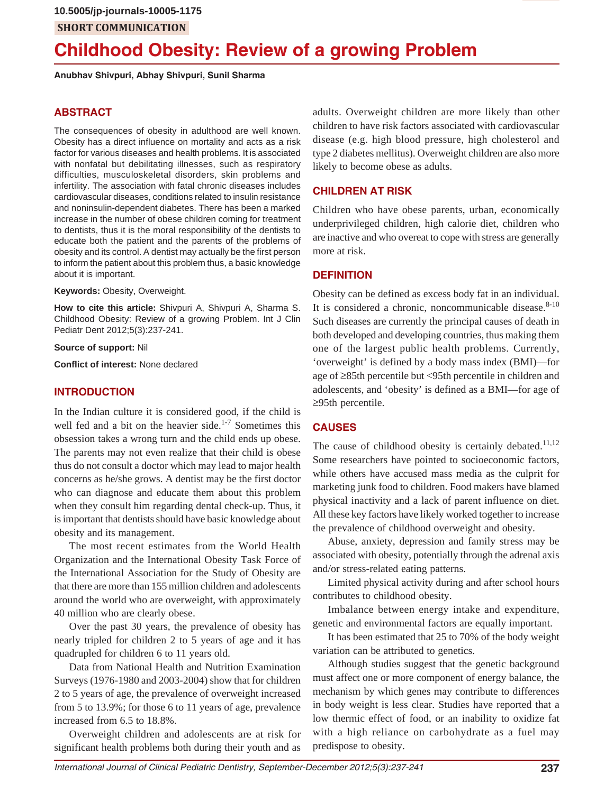# **Childhood Obesity: Review of a growing Problem**

**Anubhav Shivpuri, Abhay Shivpuri, Sunil Sharma**

#### **ABSTRACT**

The consequences of obesity in adulthood are well known. Obesity has a direct influence on mortality and acts as a risk factor for various diseases and health problems. It is associated with nonfatal but debilitating illnesses, such as respiratory difficulties, musculoskeletal disorders, skin problems and infertility. The association with fatal chronic diseases includes cardiovascular diseases, conditions related to insulin resistance and noninsulin-dependent diabetes. There has been a marked increase in the number of obese children coming for treatment to dentists, thus it is the moral responsibility of the dentists to educate both the patient and the parents of the problems of obesity and its control. A dentist may actually be the first person to inform the patient about this problem thus, a basic knowledge about it is important.

**Keywords:** Obesity, Overweight.

**How to cite this article:** Shivpuri A, Shivpuri A, Sharma S. Childhood Obesity: Review of a growing Problem. Int J Clin Pediatr Dent 2012;5(3):237-241.

#### **Source of support:** Nil

**Conflict of interest:** None declared

#### **INTRODUCTION**

In the Indian culture it is considered good, if the child is well fed and a bit on the heavier side.<sup>1-7</sup> Sometimes this obsession takes a wrong turn and the child ends up obese. The parents may not even realize that their child is obese thus do not consult a doctor which may lead to major health concerns as he/she grows. A dentist may be the first doctor who can diagnose and educate them about this problem when they consult him regarding dental check-up. Thus, it is important that dentists should have basic knowledge about obesity and its management.

The most recent estimates from the World Health Organization and the International Obesity Task Force of the International Association for the Study of Obesity are that there are more than 155 million children and adolescents around the world who are overweight, with approximately 40 million who are clearly obese.

Over the past 30 years, the prevalence of obesity has nearly tripled for children 2 to 5 years of age and it has quadrupled for children 6 to 11 years old.

Data from National Health and Nutrition Examination Surveys (1976-1980 and 2003-2004) show that for children 2 to 5 years of age, the prevalence of overweight increased from 5 to 13.9%; for those 6 to 11 years of age, prevalence increased from 6.5 to 18.8%.

Overweight children and adolescents are at risk for significant health problems both during their youth and as adults. Overweight children are more likely than other children to have risk factors associated with cardiovascular disease (e.g. high blood pressure, high cholesterol and type 2 diabetes mellitus). Overweight children are also more likely to become obese as adults.

#### **CHILDREN AT RISK**

Children who have obese parents, urban, economically underprivileged children, high calorie diet, children who are inactive and who overeat to cope with stress are generally more at risk.

#### **DEFINITION**

Obesity can be defined as excess body fat in an individual. It is considered a chronic, noncommunicable disease. $8-10$ Such diseases are currently the principal causes of death in both developed and developing countries, thus making them one of the largest public health problems. Currently, 'overweight' is defined by a body mass index (BMI)—for age of  $\geq$ 85th percentile but <95th percentile in children and adolescents, and 'obesity' is defined as a BMI—for age of  $\geq$ 95th percentile.

## **CAUSES**

The cause of childhood obesity is certainly debated.<sup>11,12</sup> Some researchers have pointed to socioeconomic factors, while others have accused mass media as the culprit for marketing junk food to children. Food makers have blamed physical inactivity and a lack of parent influence on diet. All these key factors have likely worked together to increase the prevalence of childhood overweight and obesity.

Abuse, anxiety, depression and family stress may be associated with obesity, potentially through the adrenal axis and/or stress-related eating patterns.

Limited physical activity during and after school hours contributes to childhood obesity.

Imbalance between energy intake and expenditure, genetic and environmental factors are equally important.

It has been estimated that 25 to 70% of the body weight variation can be attributed to genetics.

Although studies suggest that the genetic background must affect one or more component of energy balance, the mechanism by which genes may contribute to differences in body weight is less clear. Studies have reported that a low thermic effect of food, or an inability to oxidize fat with a high reliance on carbohydrate as a fuel may predispose to obesity.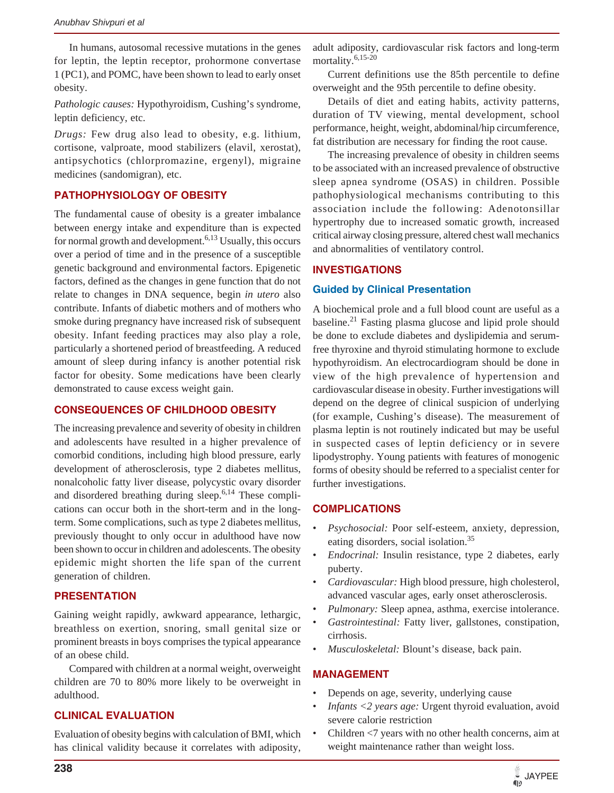In humans, autosomal recessive mutations in the genes for leptin, the leptin receptor, prohormone convertase 1 (PC1), and POMC, have been shown to lead to early onset obesity.

*Pathologic causes:* Hypothyroidism, Cushing's syndrome, leptin deficiency, etc.

*Drugs:* Few drug also lead to obesity, e.g. lithium, cortisone, valproate, mood stabilizers (elavil, xerostat), antipsychotics (chlorpromazine, ergenyl), migraine medicines (sandomigran), etc.

# **PATHOPHYSIOLOGY OF OBESITY**

The fundamental cause of obesity is a greater imbalance between energy intake and expenditure than is expected for normal growth and development.<sup>6,13</sup> Usually, this occurs over a period of time and in the presence of a susceptible genetic background and environmental factors. Epigenetic factors, defined as the changes in gene function that do not relate to changes in DNA sequence, begin *in utero* also contribute. Infants of diabetic mothers and of mothers who smoke during pregnancy have increased risk of subsequent obesity. Infant feeding practices may also play a role, particularly a shortened period of breastfeeding. A reduced amount of sleep during infancy is another potential risk factor for obesity. Some medications have been clearly demonstrated to cause excess weight gain.

# **CONSEQUENCES OF CHILDHOOD OBESITY**

The increasing prevalence and severity of obesity in children and adolescents have resulted in a higher prevalence of comorbid conditions, including high blood pressure, early development of atherosclerosis, type 2 diabetes mellitus, nonalcoholic fatty liver disease, polycystic ovary disorder and disordered breathing during sleep.6,14 These complications can occur both in the short-term and in the longterm. Some complications, such as type 2 diabetes mellitus, previously thought to only occur in adulthood have now been shown to occur in children and adolescents. The obesity epidemic might shorten the life span of the current generation of children.

## **PRESENTATION**

Gaining weight rapidly, awkward appearance, lethargic, breathless on exertion, snoring, small genital size or prominent breasts in boys comprises the typical appearance of an obese child.

Compared with children at a normal weight, overweight children are 70 to 80% more likely to be overweight in adulthood.

# **CLINICAL EVALUATION**

Evaluation of obesity begins with calculation of BMI, which has clinical validity because it correlates with adiposity,

adult adiposity, cardiovascular risk factors and long-term mortality.<sup>6,15-20</sup>

Current definitions use the 85th percentile to define overweight and the 95th percentile to define obesity.

Details of diet and eating habits, activity patterns, duration of TV viewing, mental development, school performance, height, weight, abdominal/hip circumference, fat distribution are necessary for finding the root cause.

The increasing prevalence of obesity in children seems to be associated with an increased prevalence of obstructive sleep apnea syndrome (OSAS) in children. Possible pathophysiological mechanisms contributing to this association include the following: Adenotonsillar hypertrophy due to increased somatic growth, increased critical airway closing pressure, altered chest wall mechanics and abnormalities of ventilatory control.

## **INVESTIGATIONS**

## **Guided by Clinical Presentation**

A biochemical prole and a full blood count are useful as a baseline.21 Fasting plasma glucose and lipid prole should be done to exclude diabetes and dyslipidemia and serumfree thyroxine and thyroid stimulating hormone to exclude hypothyroidism. An electrocardiogram should be done in view of the high prevalence of hypertension and cardiovascular disease in obesity. Further investigations will depend on the degree of clinical suspicion of underlying (for example, Cushing's disease). The measurement of plasma leptin is not routinely indicated but may be useful in suspected cases of leptin deficiency or in severe lipodystrophy. Young patients with features of monogenic forms of obesity should be referred to a specialist center for further investigations.

## **COMPLICATIONS**

- *Psychosocial:* Poor self-esteem, anxiety, depression, eating disorders, social isolation.<sup>35</sup>
- *Endocrinal:* Insulin resistance, type 2 diabetes, early puberty.
- *Cardiovascular:* High blood pressure, high cholesterol, advanced vascular ages, early onset atherosclerosis.
- *Pulmonary:* Sleep apnea, asthma, exercise intolerance.
- *Gastrointestinal:* Fatty liver, gallstones, constipation, cirrhosis.
- *Musculoskeletal:* Blount's disease, back pain.

# **MANAGEMENT**

- Depends on age, severity, underlying cause
- *Infants <2 years age:* Urgent thyroid evaluation, avoid severe calorie restriction
- Children <7 years with no other health concerns, aim at weight maintenance rather than weight loss.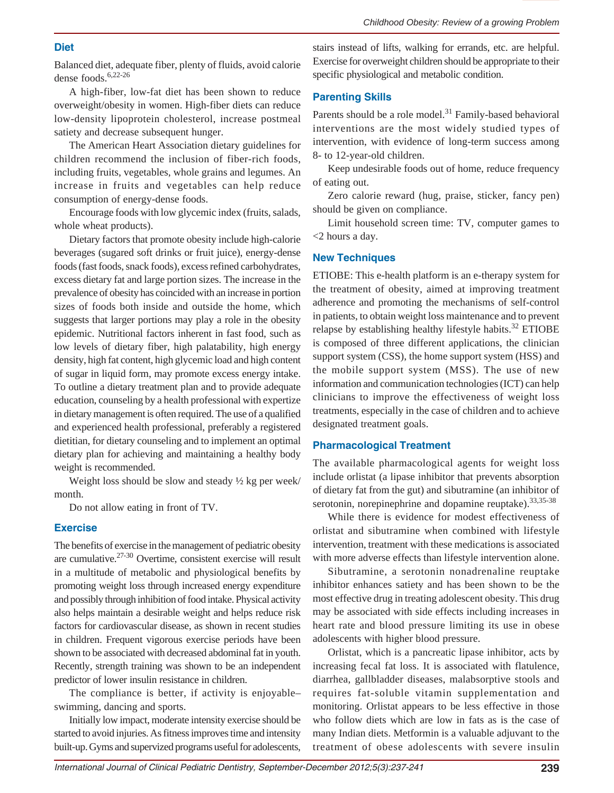#### **Diet**

Balanced diet, adequate fiber, plenty of fluids, avoid calorie dense foods.6,22-26

A high-fiber, low-fat diet has been shown to reduce overweight/obesity in women. High-fiber diets can reduce low-density lipoprotein cholesterol, increase postmeal satiety and decrease subsequent hunger.

The American Heart Association dietary guidelines for children recommend the inclusion of fiber-rich foods, including fruits, vegetables, whole grains and legumes. An increase in fruits and vegetables can help reduce consumption of energy-dense foods.

Encourage foods with low glycemic index (fruits, salads, whole wheat products).

Dietary factors that promote obesity include high-calorie beverages (sugared soft drinks or fruit juice), energy-dense foods (fast foods, snack foods), excess refined carbohydrates, excess dietary fat and large portion sizes. The increase in the prevalence of obesity has coincided with an increase in portion sizes of foods both inside and outside the home, which suggests that larger portions may play a role in the obesity epidemic. Nutritional factors inherent in fast food, such as low levels of dietary fiber, high palatability, high energy density, high fat content, high glycemic load and high content of sugar in liquid form, may promote excess energy intake. To outline a dietary treatment plan and to provide adequate education, counseling by a health professional with expertize in dietary management is often required. The use of a qualified and experienced health professional, preferably a registered dietitian, for dietary counseling and to implement an optimal dietary plan for achieving and maintaining a healthy body weight is recommended.

Weight loss should be slow and steady  $\frac{1}{2}$  kg per week/ month.

Do not allow eating in front of TV.

#### **Exercise**

The benefits of exercise in the management of pediatric obesity are cumulative.27-30 Overtime, consistent exercise will result in a multitude of metabolic and physiological benefits by promoting weight loss through increased energy expenditure and possibly through inhibition of food intake. Physical activity also helps maintain a desirable weight and helps reduce risk factors for cardiovascular disease, as shown in recent studies in children. Frequent vigorous exercise periods have been shown to be associated with decreased abdominal fat in youth. Recently, strength training was shown to be an independent predictor of lower insulin resistance in children.

The compliance is better, if activity is enjoyable– swimming, dancing and sports.

Initially low impact, moderate intensity exercise should be started to avoid injuries. As fitness improves time and intensity built-up. Gyms and supervized programs useful for adolescents,

stairs instead of lifts, walking for errands, etc. are helpful. Exercise for overweight children should be appropriate to their specific physiological and metabolic condition.

#### **Parenting Skills**

Parents should be a role model. $31$  Family-based behavioral interventions are the most widely studied types of intervention, with evidence of long-term success among 8- to 12-year-old children.

Keep undesirable foods out of home, reduce frequency of eating out.

Zero calorie reward (hug, praise, sticker, fancy pen) should be given on compliance.

Limit household screen time: TV, computer games to <2 hours a day.

#### **New Techniques**

ETIOBE: This e-health platform is an e-therapy system for the treatment of obesity, aimed at improving treatment adherence and promoting the mechanisms of self-control in patients, to obtain weight loss maintenance and to prevent relapse by establishing healthy lifestyle habits.<sup>32</sup> ETIOBE is composed of three different applications, the clinician support system (CSS), the home support system (HSS) and the mobile support system (MSS). The use of new information and communication technologies (ICT) can help clinicians to improve the effectiveness of weight loss treatments, especially in the case of children and to achieve designated treatment goals.

#### **Pharmacological Treatment**

The available pharmacological agents for weight loss include orlistat (a lipase inhibitor that prevents absorption of dietary fat from the gut) and sibutramine (an inhibitor of serotonin, norepinephrine and dopamine reuptake).  $33,35-38$ 

While there is evidence for modest effectiveness of orlistat and sibutramine when combined with lifestyle intervention, treatment with these medications is associated with more adverse effects than lifestyle intervention alone.

Sibutramine, a serotonin nonadrenaline reuptake inhibitor enhances satiety and has been shown to be the most effective drug in treating adolescent obesity. This drug may be associated with side effects including increases in heart rate and blood pressure limiting its use in obese adolescents with higher blood pressure.

Orlistat, which is a pancreatic lipase inhibitor, acts by increasing fecal fat loss. It is associated with flatulence, diarrhea, gallbladder diseases, malabsorptive stools and requires fat-soluble vitamin supplementation and monitoring. Orlistat appears to be less effective in those who follow diets which are low in fats as is the case of many Indian diets. Metformin is a valuable adjuvant to the treatment of obese adolescents with severe insulin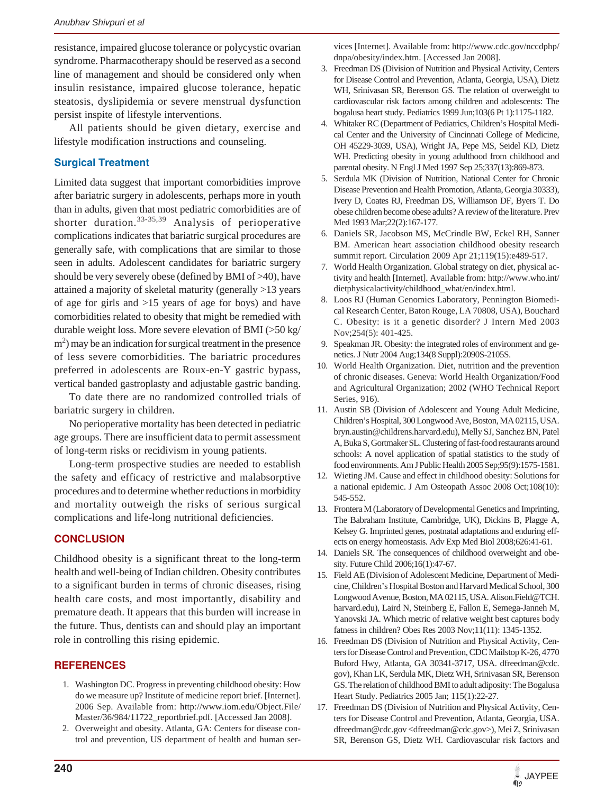resistance, impaired glucose tolerance or polycystic ovarian syndrome. Pharmacotherapy should be reserved as a second line of management and should be considered only when insulin resistance, impaired glucose tolerance, hepatic steatosis, dyslipidemia or severe menstrual dysfunction persist inspite of lifestyle interventions.

All patients should be given dietary, exercise and lifestyle modification instructions and counseling.

# **Surgical Treatment**

Limited data suggest that important comorbidities improve after bariatric surgery in adolescents, perhaps more in youth than in adults, given that most pediatric comorbidities are of shorter duration.33-35,39 Analysis of perioperative complications indicates that bariatric surgical procedures are generally safe, with complications that are similar to those seen in adults. Adolescent candidates for bariatric surgery should be very severely obese (defined by BMI of >40), have attained a majority of skeletal maturity (generally >13 years of age for girls and >15 years of age for boys) and have comorbidities related to obesity that might be remedied with durable weight loss. More severe elevation of BMI (>50 kg/  $(m<sup>2</sup>)$  may be an indication for surgical treatment in the presence of less severe comorbidities. The bariatric procedures preferred in adolescents are Roux-en-Y gastric bypass, vertical banded gastroplasty and adjustable gastric banding.

To date there are no randomized controlled trials of bariatric surgery in children.

No perioperative mortality has been detected in pediatric age groups. There are insufficient data to permit assessment of long-term risks or recidivism in young patients.

Long-term prospective studies are needed to establish the safety and efficacy of restrictive and malabsorptive procedures and to determine whether reductions in morbidity and mortality outweigh the risks of serious surgical complications and life-long nutritional deficiencies.

# **CONCLUSION**

Childhood obesity is a significant threat to the long-term health and well-being of Indian children. Obesity contributes to a significant burden in terms of chronic diseases, rising health care costs, and most importantly, disability and premature death. It appears that this burden will increase in the future. Thus, dentists can and should play an important role in controlling this rising epidemic.

# **REFERENCES**

- 1. Washington DC. Progress in preventing childhood obesity: How do we measure up? Institute of medicine report brief. [Internet]. 2006 Sep. Available from: http://www.iom.edu/Object.File/ Master/36/984/11722\_reportbrief.pdf. [Accessed Jan 2008].
- 2. Overweight and obesity. Atlanta, GA: Centers for disease control and prevention, US department of health and human ser-

vices [Internet]. Available from: http://www.cdc.gov/nccdphp/ dnpa/obesity/index.htm. [Accessed Jan 2008].

- 3. Freedman DS (Division of Nutrition and Physical Activity, Centers for Disease Control and Prevention, Atlanta, Georgia, USA), Dietz WH, Srinivasan SR, Berenson GS. The relation of overweight to cardiovascular risk factors among children and adolescents: The bogalusa heart study. Pediatrics 1999 Jun;103(6 Pt 1):1175-1182.
- 4. Whitaker RC (Department of Pediatrics, Children's Hospital Medical Center and the University of Cincinnati College of Medicine, OH 45229-3039, USA), Wright JA, Pepe MS, Seidel KD, Dietz WH. Predicting obesity in young adulthood from childhood and parental obesity. N Engl J Med 1997 Sep 25;337(13):869-873.
- 5. Serdula MK (Division of Nutrition, National Center for Chronic Disease Prevention and Health Promotion, Atlanta, Georgia 30333), Ivery D, Coates RJ, Freedman DS, Williamson DF, Byers T. Do obese children become obese adults? A review of the literature. Prev Med 1993 Mar;22(2):167-177.
- 6. Daniels SR, Jacobson MS, McCrindle BW, Eckel RH, Sanner BM. American heart association childhood obesity research summit report. Circulation 2009 Apr 21;119(15):e489-517.
- 7. World Health Organization. Global strategy on diet, physical activity and health [Internet]. Available from: http://www.who.int/ dietphysicalactivity/childhood\_what/en/index.html.
- 8. Loos RJ (Human Genomics Laboratory, Pennington Biomedical Research Center, Baton Rouge, LA 70808, USA), Bouchard C. Obesity: is it a genetic disorder? J Intern Med 2003 Nov;254(5): 401-425.
- 9. Speakman JR. Obesity: the integrated roles of environment and genetics. J Nutr 2004 Aug;134(8 Suppl):2090S-2105S.
- 10. World Health Organization. Diet, nutrition and the prevention of chronic diseases. Geneva: World Health Organization/Food and Agricultural Organization; 2002 (WHO Technical Report Series, 916).
- 11. Austin SB (Division of Adolescent and Young Adult Medicine, Children's Hospital, 300 Longwood Ave, Boston, MA 02115, USA. bryn.austin@childrens.harvard.edu), Melly SJ, Sanchez BN, Patel A, Buka S, Gortmaker SL. Clustering of fast-food restaurants around schools: A novel application of spatial statistics to the study of food environments. Am J Public Health 2005 Sep;95(9):1575-1581.
- 12. Wieting JM. Cause and effect in childhood obesity: Solutions for a national epidemic. J Am Osteopath Assoc 2008 Oct;108(10): 545-552.
- 13. Frontera M (Laboratory of Developmental Genetics and Imprinting, The Babraham Institute, Cambridge, UK), Dickins B, Plagge A, Kelsey G. Imprinted genes, postnatal adaptations and enduring effects on energy homeostasis. Adv Exp Med Biol 2008;626:41-61.
- 14. Daniels SR. The consequences of childhood overweight and obesity. Future Child 2006;16(1):47-67.
- 15. Field AE (Division of Adolescent Medicine, Department of Medicine, Children's Hospital Boston and Harvard Medical School, 300 Longwood Avenue, Boston, MA 02115, USA. Alison.Field@TCH. harvard.edu), Laird N, Steinberg E, Fallon E, Semega-Janneh M, Yanovski JA. Which metric of relative weight best captures body fatness in children? Obes Res 2003 Nov;11(11): 1345-1352.
- 16. Freedman DS (Division of Nutrition and Physical Activity, Centers for Disease Control and Prevention, CDC Mailstop K-26, 4770 Buford Hwy, Atlanta, GA 30341-3717, USA. dfreedman@cdc. gov), Khan LK, Serdula MK, Dietz WH, Srinivasan SR, Berenson GS. The relation of childhood BMI to adult adiposity: The Bogalusa Heart Study. Pediatrics 2005 Jan; 115(1):22-27.
- 17. Freedman DS (Division of Nutrition and Physical Activity, Centers for Disease Control and Prevention, Atlanta, Georgia, USA. dfreedman@cdc.gov <dfreedman@cdc.gov>), Mei Z, Srinivasan SR, Berenson GS, Dietz WH. Cardiovascular risk factors and